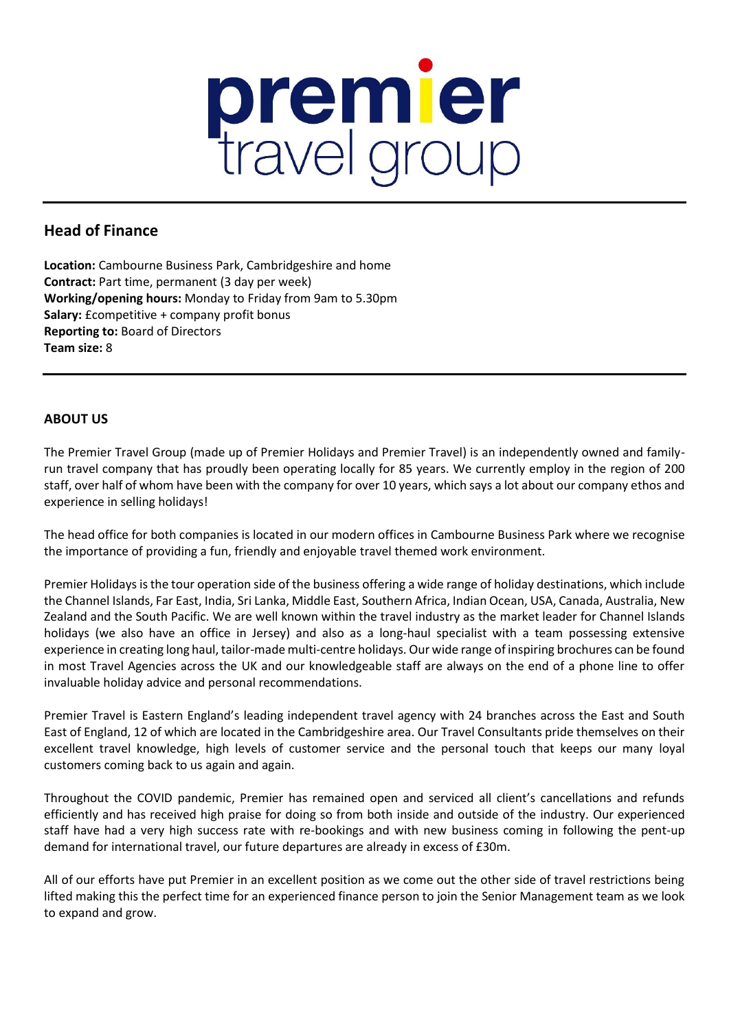

# **Head of Finance**

**Location:** Cambourne Business Park, Cambridgeshire and home **Contract:** Part time, permanent (3 day per week) **Working/opening hours:** Monday to Friday from 9am to 5.30pm **Salary:** £competitive + company profit bonus **Reporting to:** Board of Directors **Team size:** 8

# **ABOUT US**

The Premier Travel Group (made up of Premier Holidays and Premier Travel) is an independently owned and familyrun travel company that has proudly been operating locally for 85 years. We currently employ in the region of 200 staff, over half of whom have been with the company for over 10 years, which says a lot about our company ethos and experience in selling holidays!

The head office for both companies is located in our modern offices in Cambourne Business Park where we recognise the importance of providing a fun, friendly and enjoyable travel themed work environment.

Premier Holidays is the tour operation side of the business offering a wide range of holiday destinations, which include the Channel Islands, Far East, India, Sri Lanka, Middle East, Southern Africa, Indian Ocean, USA, Canada, Australia, New Zealand and the South Pacific. We are well known within the travel industry as the market leader for Channel Islands holidays (we also have an office in Jersey) and also as a long-haul specialist with a team possessing extensive experience in creating long haul, tailor-made multi-centre holidays. Our wide range of inspiring brochures can be found in most Travel Agencies across the UK and our knowledgeable staff are always on the end of a phone line to offer invaluable holiday advice and personal recommendations.

Premier Travel is Eastern England's leading independent travel agency with 24 branches across the East and South East of England, 12 of which are located in the Cambridgeshire area. Our Travel Consultants pride themselves on their excellent travel knowledge, high levels of customer service and the personal touch that keeps our many loyal customers coming back to us again and again.

Throughout the COVID pandemic, Premier has remained open and serviced all client's cancellations and refunds efficiently and has received high praise for doing so from both inside and outside of the industry. Our experienced staff have had a very high success rate with re-bookings and with new business coming in following the pent-up demand for international travel, our future departures are already in excess of £30m.

All of our efforts have put Premier in an excellent position as we come out the other side of travel restrictions being lifted making this the perfect time for an experienced finance person to join the Senior Management team as we look to expand and grow.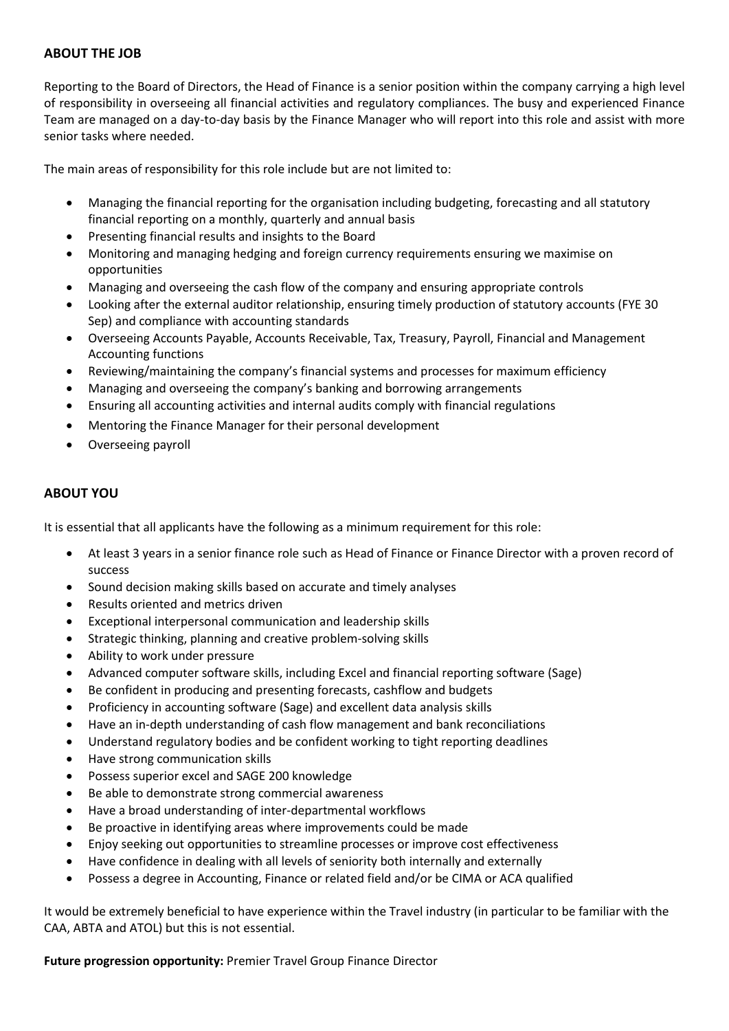## **ABOUT THE JOB**

Reporting to the Board of Directors, the Head of Finance is a senior position within the company carrying a high level of responsibility in overseeing all financial activities and regulatory compliances. The busy and experienced Finance Team are managed on a day-to-day basis by the Finance Manager who will report into this role and assist with more senior tasks where needed.

The main areas of responsibility for this role include but are not limited to:

- Managing the financial reporting for the organisation including budgeting, forecasting and all statutory financial reporting on a monthly, quarterly and annual basis
- Presenting financial results and insights to the Board
- Monitoring and managing hedging and foreign currency requirements ensuring we maximise on opportunities
- Managing and overseeing the cash flow of the company and ensuring appropriate controls
- Looking after the external auditor relationship, ensuring timely production of statutory accounts (FYE 30 Sep) and compliance with accounting standards
- Overseeing Accounts Payable, Accounts Receivable, Tax, Treasury, Payroll, Financial and Management Accounting functions
- Reviewing/maintaining the company's financial systems and processes for maximum efficiency
- Managing and overseeing the company's banking and borrowing arrangements
- Ensuring all accounting activities and internal audits comply with financial regulations
- Mentoring the Finance Manager for their personal development
- Overseeing payroll

### **ABOUT YOU**

It is essential that all applicants have the following as a minimum requirement for this role:

- At least 3 years in a senior finance role such as Head of Finance or Finance Director with a proven record of success
- Sound decision making skills based on accurate and timely analyses
- Results oriented and metrics driven
- Exceptional interpersonal communication and leadership skills
- Strategic thinking, planning and creative problem-solving skills
- Ability to work under pressure
- Advanced computer software skills, including Excel and financial reporting software (Sage)
- Be confident in producing and presenting forecasts, cashflow and budgets
- Proficiency in accounting software (Sage) and excellent data analysis skills
- Have an in-depth understanding of cash flow management and bank reconciliations
- Understand regulatory bodies and be confident working to tight reporting deadlines
- Have strong communication skills
- Possess superior excel and SAGE 200 knowledge
- Be able to demonstrate strong commercial awareness
- Have a broad understanding of inter-departmental workflows
- Be proactive in identifying areas where improvements could be made
- Enjoy seeking out opportunities to streamline processes or improve cost effectiveness
- Have confidence in dealing with all levels of seniority both internally and externally
- Possess a degree in Accounting, Finance or related field and/or be CIMA or ACA qualified

It would be extremely beneficial to have experience within the Travel industry (in particular to be familiar with the CAA, ABTA and ATOL) but this is not essential.

#### **Future progression opportunity:** Premier Travel Group Finance Director